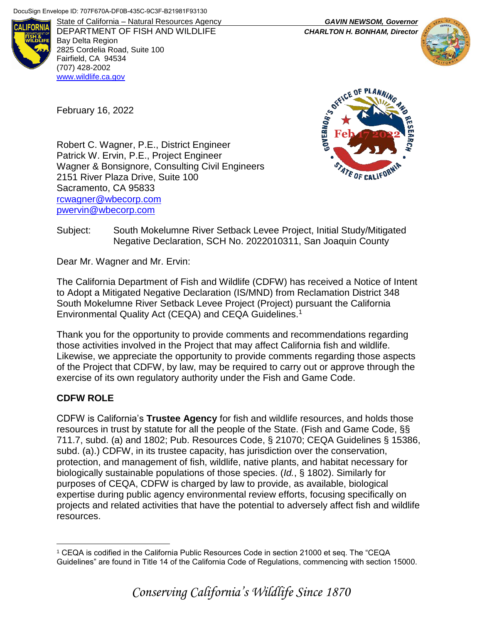February 16, 2022



DEPARTMENT OF FISH AND WILDLIFE *CHARLTON H. BONHAM, Director* Bay Delta Region 2825 Cordelia Road, Suite 100 Fairfield, CA 94534 (707) 428-2002 [www.wildlife.ca.gov](http://www.wildlife.ca.gov/)

State of California – Natural Resources Agency *GAVIN NEWSOM, Governor*



**ICE OF PLANN** GOVERNOR'S **Feb 17 2022**ATE OF CALIF

Robert C. Wagner, P.E., District Engineer Patrick W. Ervin, P.E., Project Engineer Wagner & Bonsignore, Consulting Civil Engineers 2151 River Plaza Drive, Suite 100 Sacramento, CA 95833 [rcwagner@wbecorp.com](mailto:rcwagner@wbecorp.com) [pwervin@wbecorp.com](mailto:pwervin@wbecorp.com)

## Subject: South Mokelumne River Setback Levee Project, Initial Study/Mitigated Negative Declaration, SCH No. 2022010311, San Joaquin County

Dear Mr. Wagner and Mr. Ervin:

The California Department of Fish and Wildlife (CDFW) has received a Notice of Intent to Adopt a Mitigated Negative Declaration (IS/MND) from Reclamation District 348 South Mokelumne River Setback Levee Project (Project) pursuant the California Environmental Quality Act (CEQA) and CEQA Guidelines.<sup>1</sup>

Thank you for the opportunity to provide comments and recommendations regarding those activities involved in the Project that may affect California fish and wildlife. Likewise, we appreciate the opportunity to provide comments regarding those aspects of the Project that CDFW, by law, may be required to carry out or approve through the exercise of its own regulatory authority under the Fish and Game Code.

# **CDFW ROLE**

CDFW is California's **Trustee Agency** for fish and wildlife resources, and holds those resources in trust by statute for all the people of the State. (Fish and Game Code, §§ 711.7, subd. (a) and 1802; Pub. Resources Code, § 21070; CEQA Guidelines § 15386, subd. (a).) CDFW, in its trustee capacity, has jurisdiction over the conservation, protection, and management of fish, wildlife, native plants, and habitat necessary for biologically sustainable populations of those species. (*Id.*, § 1802). Similarly for purposes of CEQA, CDFW is charged by law to provide, as available, biological expertise during public agency environmental review efforts, focusing specifically on projects and related activities that have the potential to adversely affect fish and wildlife resources.

 $\overline{a}$ <sup>1</sup> CEQA is codified in the California Public Resources Code in section 21000 et seq. The "CEQA Guidelines" are found in Title 14 of the California Code of Regulations, commencing with section 15000.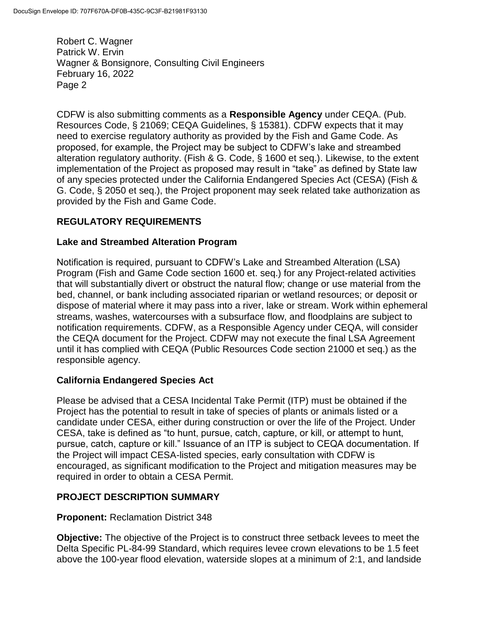CDFW is also submitting comments as a **Responsible Agency** under CEQA. (Pub. Resources Code, § 21069; CEQA Guidelines, § 15381). CDFW expects that it may need to exercise regulatory authority as provided by the Fish and Game Code. As proposed, for example, the Project may be subject to CDFW's lake and streambed alteration regulatory authority. (Fish & G. Code, § 1600 et seq.). Likewise, to the extent implementation of the Project as proposed may result in "take" as defined by State law of any species protected under the California Endangered Species Act (CESA) (Fish & G. Code, § 2050 et seq.), the Project proponent may seek related take authorization as provided by the Fish and Game Code.

## **REGULATORY REQUIREMENTS**

## **Lake and Streambed Alteration Program**

Notification is required, pursuant to CDFW's Lake and Streambed Alteration (LSA) Program (Fish and Game Code section 1600 et. seq.) for any Project-related activities that will substantially divert or obstruct the natural flow; change or use material from the bed, channel, or bank including associated riparian or wetland resources; or deposit or dispose of material where it may pass into a river, lake or stream. Work within ephemeral streams, washes, watercourses with a subsurface flow, and floodplains are subject to notification requirements. CDFW, as a Responsible Agency under CEQA, will consider the CEQA document for the Project. CDFW may not execute the final LSA Agreement until it has complied with CEQA (Public Resources Code section 21000 et seq.) as the responsible agency.

## **California Endangered Species Act**

Please be advised that a CESA Incidental Take Permit (ITP) must be obtained if the Project has the potential to result in take of species of plants or animals listed or a candidate under CESA, either during construction or over the life of the Project. Under CESA, take is defined as "to hunt, pursue, catch, capture, or kill, or attempt to hunt, pursue, catch, capture or kill." Issuance of an ITP is subject to CEQA documentation. If the Project will impact CESA-listed species, early consultation with CDFW is encouraged, as significant modification to the Project and mitigation measures may be required in order to obtain a CESA Permit.

## **PROJECT DESCRIPTION SUMMARY**

## **Proponent:** Reclamation District 348

**Objective:** The objective of the Project is to construct three setback levees to meet the Delta Specific PL-84-99 Standard, which requires levee crown elevations to be 1.5 feet above the 100-year flood elevation, waterside slopes at a minimum of 2:1, and landside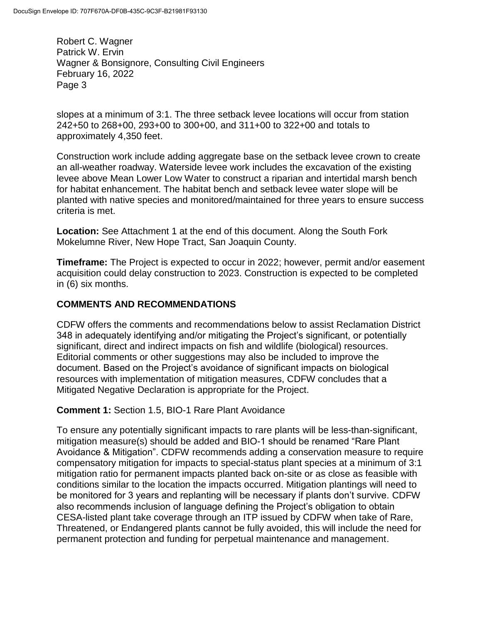slopes at a minimum of 3:1. The three setback levee locations will occur from station 242+50 to 268+00, 293+00 to 300+00, and 311+00 to 322+00 and totals to approximately 4,350 feet.

Construction work include adding aggregate base on the setback levee crown to create an all-weather roadway. Waterside levee work includes the excavation of the existing levee above Mean Lower Low Water to construct a riparian and intertidal marsh bench for habitat enhancement. The habitat bench and setback levee water slope will be planted with native species and monitored/maintained for three years to ensure success criteria is met.

**Location:** See Attachment 1 at the end of this document. Along the South Fork Mokelumne River, New Hope Tract, San Joaquin County.

**Timeframe:** The Project is expected to occur in 2022; however, permit and/or easement acquisition could delay construction to 2023. Construction is expected to be completed in (6) six months.

## **COMMENTS AND RECOMMENDATIONS**

CDFW offers the comments and recommendations below to assist Reclamation District 348 in adequately identifying and/or mitigating the Project's significant, or potentially significant, direct and indirect impacts on fish and wildlife (biological) resources. Editorial comments or other suggestions may also be included to improve the document. Based on the Project's avoidance of significant impacts on biological resources with implementation of mitigation measures, CDFW concludes that a Mitigated Negative Declaration is appropriate for the Project.

## **Comment 1:** Section 1.5, BIO-1 Rare Plant Avoidance

To ensure any potentially significant impacts to rare plants will be less-than-significant, mitigation measure(s) should be added and BIO-1 should be renamed "Rare Plant Avoidance & Mitigation". CDFW recommends adding a conservation measure to require compensatory mitigation for impacts to special-status plant species at a minimum of 3:1 mitigation ratio for permanent impacts planted back on-site or as close as feasible with conditions similar to the location the impacts occurred. Mitigation plantings will need to be monitored for 3 years and replanting will be necessary if plants don't survive. CDFW also recommends inclusion of language defining the Project's obligation to obtain CESA-listed plant take coverage through an ITP issued by CDFW when take of Rare, Threatened, or Endangered plants cannot be fully avoided, this will include the need for permanent protection and funding for perpetual maintenance and management.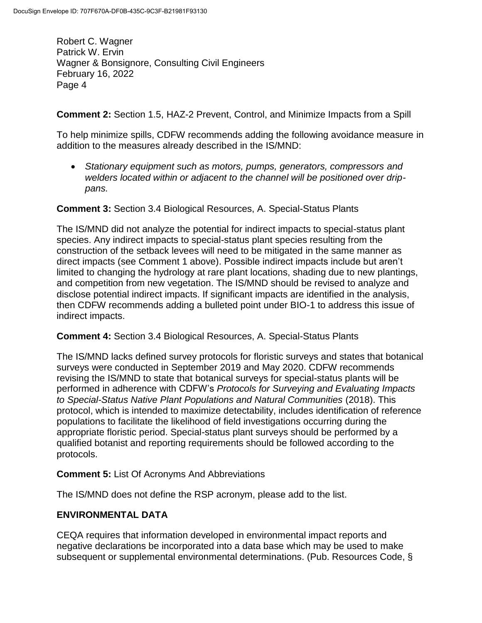**Comment 2:** Section 1.5, HAZ-2 Prevent, Control, and Minimize Impacts from a Spill

To help minimize spills, CDFW recommends adding the following avoidance measure in addition to the measures already described in the IS/MND:

 *Stationary equipment such as motors, pumps, generators, compressors and welders located within or adjacent to the channel will be positioned over drippans.*

**Comment 3:** Section 3.4 Biological Resources, A. Special-Status Plants

The IS/MND did not analyze the potential for indirect impacts to special-status plant species. Any indirect impacts to special-status plant species resulting from the construction of the setback levees will need to be mitigated in the same manner as direct impacts (see Comment 1 above). Possible indirect impacts include but aren't limited to changing the hydrology at rare plant locations, shading due to new plantings, and competition from new vegetation. The IS/MND should be revised to analyze and disclose potential indirect impacts. If significant impacts are identified in the analysis, then CDFW recommends adding a bulleted point under BIO-1 to address this issue of indirect impacts.

**Comment 4:** Section 3.4 Biological Resources, A. Special-Status Plants

The IS/MND lacks defined survey protocols for floristic surveys and states that botanical surveys were conducted in September 2019 and May 2020. CDFW recommends revising the IS/MND to state that botanical surveys for special-status plants will be performed in adherence with CDFW's *Protocols for Surveying and Evaluating Impacts to Special-Status Native Plant Populations and Natural Communities* (2018). This protocol, which is intended to maximize detectability, includes identification of reference populations to facilitate the likelihood of field investigations occurring during the appropriate floristic period. Special-status plant surveys should be performed by a qualified botanist and reporting requirements should be followed according to the protocols.

## **Comment 5:** List Of Acronyms And Abbreviations

The IS/MND does not define the RSP acronym, please add to the list.

## **ENVIRONMENTAL DATA**

CEQA requires that information developed in environmental impact reports and negative declarations be incorporated into a data base which may be used to make subsequent or supplemental environmental determinations. (Pub. Resources Code, §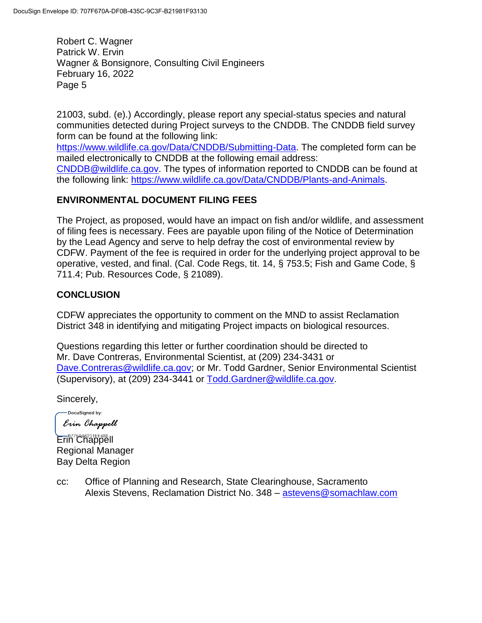21003, subd. (e).) Accordingly, please report any special-status species and natural communities detected during Project surveys to the CNDDB. The CNDDB field survey form can be found at the following link:

[https://www.wildlife.ca.gov/Data/CNDDB/Submitting-Data.](https://www.wildlife.ca.gov/Data/CNDDB/Submitting-Data) The completed form can be mailed electronically to CNDDB at the following email address: [CNDDB@wildlife.ca.gov.](mailto:cnddb@dfg.ca.gov) The types of information reported to CNDDB can be found at the following link: [https://www.wildlife.ca.gov/Data/CNDDB/Plants-and-Animals.](https://www.wildlife.ca.gov/Data/CNDDB/Plants-and-Animals)

## **ENVIRONMENTAL DOCUMENT FILING FEES**

The Project, as proposed, would have an impact on fish and/or wildlife, and assessment of filing fees is necessary. Fees are payable upon filing of the Notice of Determination by the Lead Agency and serve to help defray the cost of environmental review by CDFW. Payment of the fee is required in order for the underlying project approval to be operative, vested, and final. (Cal. Code Regs, tit. 14, § 753.5; Fish and Game Code, § 711.4; Pub. Resources Code, § 21089).

## **CONCLUSION**

CDFW appreciates the opportunity to comment on the MND to assist Reclamation District 348 in identifying and mitigating Project impacts on biological resources.

Questions regarding this letter or further coordination should be directed to Mr. Dave Contreras, Environmental Scientist, at (209) 234-3431 or [Dave.Contreras@wildlife.ca.gov;](mailto:Dave.Contreras@wildlife.ca.gov) or Mr. Todd Gardner, Senior Environmental Scientist (Supervisory), at (209) 234-3441 or [Todd.Gardner@wildlife.ca.gov.](mailto:Todd.Gardner@wildlife.ca.gov)

Sincerely,

-DocuSigned by: Erin Chappell

Erin Chappell Regional Manager Bay Delta Region

cc: Office of Planning and Research, State Clearinghouse, Sacramento Alexis Stevens, Reclamation District No. 348 – [astevens@somachlaw.com](mailto:astevens@somachlaw.com)